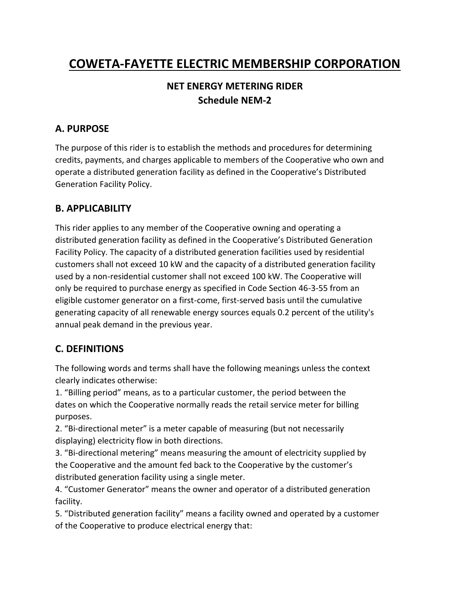# **COWETA-FAYETTE ELECTRIC MEMBERSHIP CORPORATION**

# **NET ENERGY METERING RIDER Schedule NEM-2**

#### **A. PURPOSE**

The purpose of this rider is to establish the methods and procedures for determining credits, payments, and charges applicable to members of the Cooperative who own and operate a distributed generation facility as defined in the Cooperative's Distributed Generation Facility Policy.

#### **B. APPLICABILITY**

This rider applies to any member of the Cooperative owning and operating a distributed generation facility as defined in the Cooperative's Distributed Generation Facility Policy. The capacity of a distributed generation facilities used by residential customers shall not exceed 10 kW and the capacity of a distributed generation facility used by a non-residential customer shall not exceed 100 kW. The Cooperative will only be required to purchase energy as specified in Code Section 46-3-55 from an eligible customer generator on a first-come, first-served basis until the cumulative generating capacity of all renewable energy sources equals 0.2 percent of the utility's annual peak demand in the previous year.

### **C. DEFINITIONS**

The following words and terms shall have the following meanings unless the context clearly indicates otherwise:

1. "Billing period" means, as to a particular customer, the period between the dates on which the Cooperative normally reads the retail service meter for billing purposes.

2. "Bi-directional meter" is a meter capable of measuring (but not necessarily displaying) electricity flow in both directions.

3. "Bi-directional metering" means measuring the amount of electricity supplied by the Cooperative and the amount fed back to the Cooperative by the customer's distributed generation facility using a single meter.

4. "Customer Generator" means the owner and operator of a distributed generation facility.

5. "Distributed generation facility" means a facility owned and operated by a customer of the Cooperative to produce electrical energy that: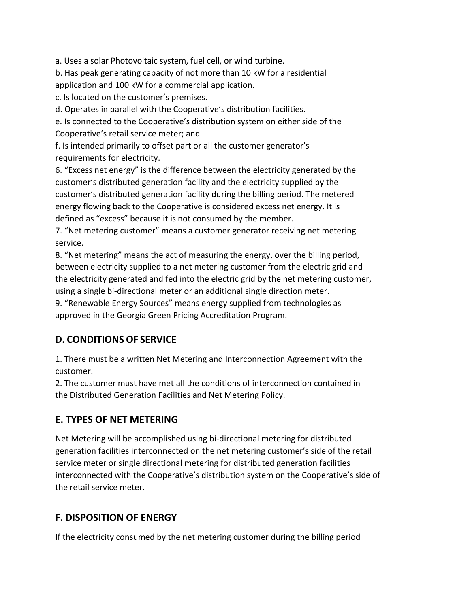a. Uses a solar Photovoltaic system, fuel cell, or wind turbine.

b. Has peak generating capacity of not more than 10 kW for a residential application and 100 kW for a commercial application.

c. Is located on the customer's premises.

d. Operates in parallel with the Cooperative's distribution facilities.

e. Is connected to the Cooperative's distribution system on either side of the Cooperative's retail service meter; and

f. Is intended primarily to offset part or all the customer generator's requirements for electricity.

6. "Excess net energy" is the difference between the electricity generated by the customer's distributed generation facility and the electricity supplied by the customer's distributed generation facility during the billing period. The metered energy flowing back to the Cooperative is considered excess net energy. It is defined as "excess" because it is not consumed by the member.

7. "Net metering customer" means a customer generator receiving net metering service.

8. "Net metering" means the act of measuring the energy, over the billing period, between electricity supplied to a net metering customer from the electric grid and the electricity generated and fed into the electric grid by the net metering customer, using a single bi-directional meter or an additional single direction meter.

9. "Renewable Energy Sources" means energy supplied from technologies as approved in the Georgia Green Pricing Accreditation Program.

# **D. CONDITIONS OF SERVICE**

1. There must be a written Net Metering and Interconnection Agreement with the customer.

2. The customer must have met all the conditions of interconnection contained in the Distributed Generation Facilities and Net Metering Policy.

# **E. TYPES OF NET METERING**

Net Metering will be accomplished using bi-directional metering for distributed generation facilities interconnected on the net metering customer's side of the retail service meter or single directional metering for distributed generation facilities interconnected with the Cooperative's distribution system on the Cooperative's side of the retail service meter.

# **F. DISPOSITION OF ENERGY**

If the electricity consumed by the net metering customer during the billing period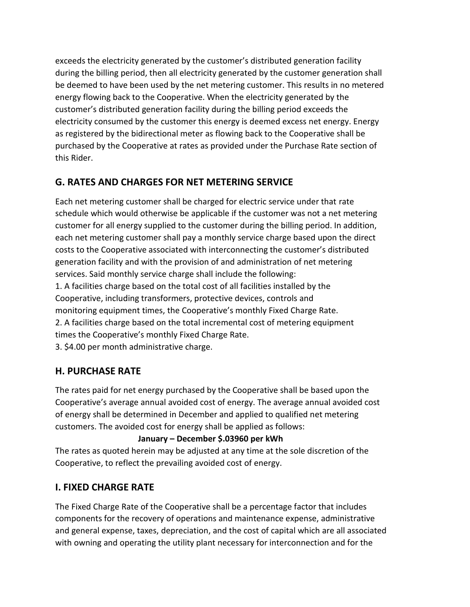exceeds the electricity generated by the customer's distributed generation facility during the billing period, then all electricity generated by the customer generation shall be deemed to have been used by the net metering customer. This results in no metered energy flowing back to the Cooperative. When the electricity generated by the customer's distributed generation facility during the billing period exceeds the electricity consumed by the customer this energy is deemed excess net energy. Energy as registered by the bidirectional meter as flowing back to the Cooperative shall be purchased by the Cooperative at rates as provided under the Purchase Rate section of this Rider.

### **G. RATES AND CHARGES FOR NET METERING SERVICE**

Each net metering customer shall be charged for electric service under that rate schedule which would otherwise be applicable if the customer was not a net metering customer for all energy supplied to the customer during the billing period. In addition, each net metering customer shall pay a monthly service charge based upon the direct costs to the Cooperative associated with interconnecting the customer's distributed generation facility and with the provision of and administration of net metering services. Said monthly service charge shall include the following: 1. A facilities charge based on the total cost of all facilities installed by the Cooperative, including transformers, protective devices, controls and monitoring equipment times, the Cooperative's monthly Fixed Charge Rate. 2. A facilities charge based on the total incremental cost of metering equipment times the Cooperative's monthly Fixed Charge Rate. 3. \$4.00 per month administrative charge.

### **H. PURCHASE RATE**

The rates paid for net energy purchased by the Cooperative shall be based upon the Cooperative's average annual avoided cost of energy. The average annual avoided cost of energy shall be determined in December and applied to qualified net metering customers. The avoided cost for energy shall be applied as follows:

#### **January – December \$.03960 per kWh**

The rates as quoted herein may be adjusted at any time at the sole discretion of the Cooperative, to reflect the prevailing avoided cost of energy.

#### **I. FIXED CHARGE RATE**

The Fixed Charge Rate of the Cooperative shall be a percentage factor that includes components for the recovery of operations and maintenance expense, administrative and general expense, taxes, depreciation, and the cost of capital which are all associated with owning and operating the utility plant necessary for interconnection and for the